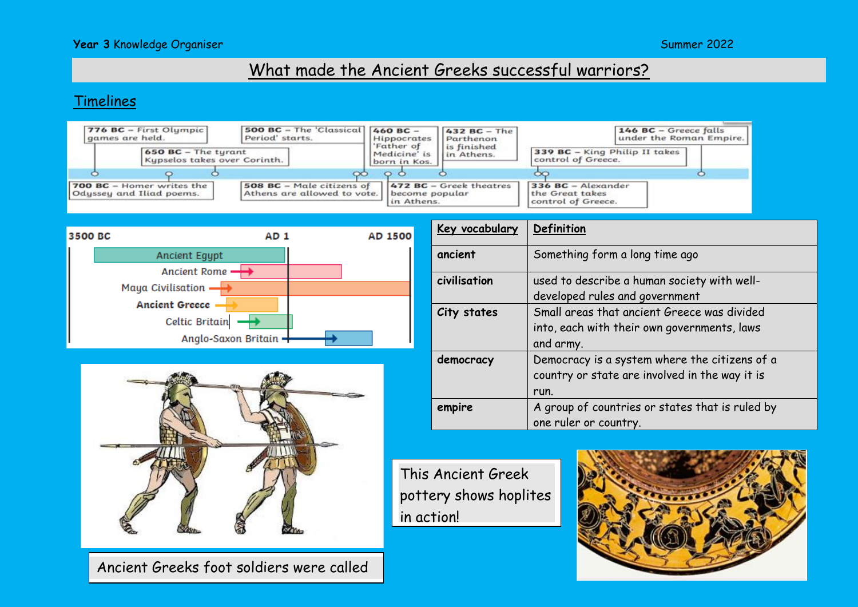### **Year 3** Knowledge Organiser Summer 2022

# What made the Ancient Greeks successful warriors?

#### Timelines







Ancient Greeks foot soldiers were called

| Key vocabulary | Definition                                                                                              |  |
|----------------|---------------------------------------------------------------------------------------------------------|--|
| ancient        | Something form a long time ago                                                                          |  |
| civilisation   | used to describe a human society with well-<br>developed rules and government                           |  |
| City states    | Small areas that ancient Greece was divided<br>into, each with their own governments, laws<br>and army. |  |
| democracy      | Democracy is a system where the citizens of a<br>country or state are involved in the way it is<br>run. |  |
| empire         | A group of countries or states that is ruled by<br>one ruler or country.                                |  |

This Ancient Greek pottery shows hoplites in action!